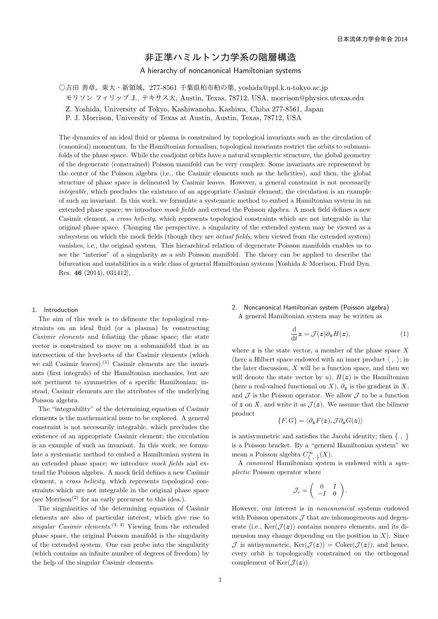# 非正準ハミルトン力学系の階層構造

# A hierarchy of noncanonical Hamiltonian systems

○吉田 善章, 東大・新領域, 277-8561 千葉県柏市柏の葉, yoshida@ppl.k.u-tokyo.ac.jp

モリソン フィリップ J., テキサス大, Austin, Texas, 78712, USA, morrison@physics.utexas.edu

Z. Yoshida, University of Tokyo, Kashiwanoha, Kashiwa, Chiba 277-8561, Japan

P. J. Morrison, University of Texas at Austin, Austin, Texas, 78712, USA

The dynamics of an ideal fluid or plasma is constrained by topological invariants such as the circulation of (canonical) momentum. In the Hamiltonian formalism, topological invariants restrict the orbits to submanifolds of the phase space. While the coadjoint orbits have a natural symplectic structure, the global geometry of the degenerate (constrained) Poisson manifold can be very complex. Some invariants are represented by the center of the Poisson algebra (i.e., the Casimir elements such as the helicities), and then, the global structure of phase space is delineated by Casimir leaves. However, a general constraint is not necessarily *integrable*, which precludes the existence of an appropriate Casimir element; the circulation is an example of such an invariant. In this work, we formulate a systematic method to embed a Hamiltonian system in an extended phase space; we introduce *mock fields* and extend the Poisson algebra. A mock field defines a new Casimir element, a *cross helicity*, which represents topological constraints which are not integrable in the original phase space. Changing the perspective, a singularity of the extended system may be viewed as a subsystem on which the mock fields (though they are *actual fields*, when viewed from the extended system) vanishes, i.e., the original system. This hierarchical relation of degenerate Poisson manifolds enables us to see the "interior" of a singularity as a sub Poisson manifold. The theory can be applied to describe the bifurcation and instabilities in a wide class of general Hamiltonian systems [Yoshida & Morrison, Fluid Dyn. Res. **46** (2014), 031412],

# 1. Introduction

The aim of this work is to delineate the topological constraints on an ideal fluid (or a plasma) by constructing *Casimir elements* and foliating the phase space; the state vector is constrained to move on a submanifold that is an intersection of the level-sets of the Casimir elements (which we call Casimir leaves).<sup>(1)</sup> Casimir elements are the invariants (first integrals) of the Hamiltonian mechanics, but are not pertinent to symmetries of a specific Hamiltonian; instead, Casimir elements are the attributes of the underlying Poisson algebra.

The "integrability" of the determining equation of Casimir elements is the mathematical issue to be explored. A general constraint is not necessarily integrable, which precludes the existence of an appropriate Casimir element; the circulation is an example of such an invariant. In this work, we formulate a systematic method to embed a Hamiltonian system in an extended phase space; we introduce *mock fields* and extend the Poisson algebra. A mock field defines a new Casimir element, a *cross helicity*, which represents topological constraints which are not integrable in the original phase space (see Morrison<sup>(2)</sup> for an early precursor to this idea.).

The singularities of the determining equation of Casimir elements are also of particular interest, which give rise to  $singular$  *Casimir elements*.<sup>(3, 4)</sup> Viewing from the extended phase space, the original Poisson manifold is the singularity of the extended system. One can probe into the singularity (which contains an infinite number of degrees of freedom) by the help of the singular Casimir elements.

### 2. Noncanonical Hamiltonian system (Poisson algebra) A general Hamiltonian system may be written as

$$
\frac{\mathrm{d}}{\mathrm{d}t}z = \mathcal{J}(z)\partial_z H(z),\tag{1}
$$

where  $z$  is the state vector, a member of the phase space  $X$ (here a Hilbert space endowed with an inner product *⟨ , ⟩*; in the later discussion, *X* will be a function space, and then we will denote the state vector by  $u$ ),  $H(z)$  is the Hamiltonian (here a real-valued functional on *X*),  $\partial_z$  is the gradient in *X*, and  $\mathcal J$  is the Poisson operator. We allow  $\mathcal J$  to be a function of  $\boldsymbol{z}$  on  $\boldsymbol{X}$ , and write it as  $\mathcal{J}(\boldsymbol{z})$ . We assume that the bilinear product

$$
\{F,G\}=\langle \partial_{\boldsymbol{z}} F(\boldsymbol{z}), \mathcal{J} \partial_{\boldsymbol{z}} G(\boldsymbol{z})\rangle
$$

is antisymmetric and satisfies the Jacobi identity; then *{ , }* is a Poisson bracket. By a "general Hamiltonian system" we mean a Poisson algebra  $C^{\infty}_{\{1, 1\}}(X)$ .

A *canonical* Hamiltonian system is endowed with a *symplectic* Poisson operator where

$$
\mathcal{J}_c = \left( \begin{array}{cc} 0 & I \\ -I & 0 \end{array} \right).
$$

However, our interest is in *noncanonical* systems endowed with Poisson operators  $\mathcal J$  that are inhomogeneous and degenerate (i.e.,  $\text{Ker}(\mathcal{J}(z))$  contains nonzero elements, and its dimension may change depending on the position in  $X$ ). Since  $\mathcal J$  is antisymmetric,  $\text{Ker}(\mathcal J(z)) = \text{Coker}(\mathcal J(z))$ , and hence, every orbit is topologically constrained on the orthogonal complement of  $\text{Ker}(\mathcal{J}(z))$ .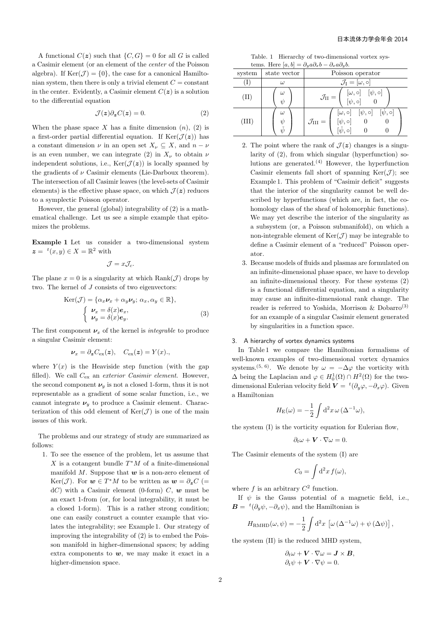A functional  $C(z)$  such that  $\{C, G\} = 0$  for all *G* is called a Casimir element (or an element of the *center* of the Poisson algebra). If  $\text{Ker}(\mathcal{J}) = \{0\}$ , the case for a canonical Hamiltonian system, then there is only a trivial element  $C = constant$ in the center. Evidently, a Casimir element  $C(z)$  is a solution to the differential equation

$$
\mathcal{J}(z)\partial_z C(z) = 0.\tag{2}
$$

When the phase space  $X$  has a finite dimension  $(n)$ ,  $(2)$  is a first-order partial differential equation. If  $\text{Ker}(\mathcal{J}(z))$  has a constant dimension  $\nu$  in an open set  $X_{\nu} \subseteq X$ , and  $n - \nu$ is an even number, we can integrate (2) in  $X_{\nu}$  to obtain  $\nu$ independent solutions, i.e.,  $\text{Ker}(\mathcal{J}(z))$  is locally spanned by the gradients of  $\nu$  Casimir elements (Lie-Darboux theorem). The intersection of all Casimir leaves (the level-sets of Casimir elements) is the effective phase space, on which  $\mathcal{J}(z)$  reduces to a symplectic Poisson operator.

However, the general (global) integrability of (2) is a mathematical challenge. Let us see a simple example that epitomizes the problems.

**Example 1** Let us consider a two-dimensional system  $z = {}^{t}(x, y) \in X = \mathbb{R}^{2}$  with

$$
\mathcal{J} = x \mathcal{J}_c.
$$

The plane  $x = 0$  is a singularity at which Rank $(\mathcal{J})$  drops by two. The kernel of *J* consists of two eigenvectors:

$$
\text{Ker}(\mathcal{J}) = \{ \alpha_x \nu_x + \alpha_y \nu_y; \ \alpha_x, \alpha_y \in \mathbb{R} \},\
$$

$$
\begin{cases} \nu_x = \delta(x) e_x, \\ \nu_y = \delta(x) e_y. \end{cases}
$$
(3)

The first component  $\nu_x$  of the kernel is *integrable* to produce a singular Casimir element:

$$
\nu_x = \partial_z C_{\text{ex}}(z), \quad C_{\text{ex}}(z) = Y(x),
$$

where  $Y(x)$  is the Heaviside step function (with the gap filled). We call *C*ex an *exterior Casimir element*. However, the second component  $\nu_y$  is not a closed 1-form, thus it is not representable as a gradient of some scalar function, i.e., we cannot integrate  $\nu_y$  to produce a Casimir element. Characterization of this odd element of  $\text{Ker}(\mathcal{J})$  is one of the main issues of this work.

The problems and our strategy of study are summarized as follows:

1. To see the essence of the problem, let us assume that *X* is a cotangent bundle *T <sup>∗</sup>M* of a finite-dimensional manifold *M*. Suppose that *w* is a non-zero element of Ker(*J*). For  $w \in T^*M$  to be written as  $w = \partial_z C$  (=  $dC$ ) with a Casimir element (0-form) *C*, *w* must be an exact 1-from (or, for local integrability, it must be a closed 1-form). This is a rather strong condition; one can easily construct a counter example that violates the integrability; see Example 1. Our strategy of improving the integrability of (2) is to embed the Poisson manifold in higher-dimensional spaces; by adding extra components to  $w$ , we may make it exact in a higher-dimension space.

Table. 1 Hierarchy of two-dimensional vortex systems. Here  $[a, b] = \partial_y a \partial_x b - \partial_x a \partial_y b$ .

| system | state vector                         | Poisson operator                                                                                                                     |
|--------|--------------------------------------|--------------------------------------------------------------------------------------------------------------------------------------|
|        | $\omega$                             | $\mathcal{J}_I=[\omega,\circ]$                                                                                                       |
| (II)   | $\omega$<br>$\psi$                   | $\mathcal{J}_{\text{II}} = \left( \begin{array}{cc} [\omega, \circ] & [\psi, \circ] \\ [\psi, \circ] & 0 \end{array} \right)$        |
| (III)  | $\omega$<br>$\psi$<br>$\check{\psi}$ | $[\omega, \circ] \quad [\psi, \circ] \quad [\check{\psi}, \circ]$<br>$[\psi, \circ]$<br>$\mathcal{J}_{\rm III} =$<br>$\check{w}$ , o |

- 2. The point where the rank of  $\mathcal{J}(z)$  changes is a singularity of (2), from which singular (hyperfunction) solutions are generated.<sup>(4)</sup> However, the hyperfunction Casimir elements fall short of spanning  $\text{Ker}(\mathcal{J})$ ; see Example 1. This problem of "Casimir deficit" suggests that the interior of the singularity cannot be well described by hyperfunctions (which are, in fact, the cohomology class of the sheaf of holomorphic functions). We may yet describe the interior of the singularity as a subsystem (or, a Poisson submanifold), on which a non-integrable element of  $\text{Ker}(\mathcal{J})$  may be integrable to define a Casimir element of a "reduced" Poisson operator.
- 3. Because models of fluids and plasmas are formulated on an infinite-dimensional phase space, we have to develop an infinite-dimensional theory. For these systems (2) is a functional differential equation, and a singularity may cause an infinite-dimensional rank change. The reader is referred to Yoshida, Morrison & Dobarro<sup>(3)</sup> for an example of a singular Casimir element generated by singularities in a function space.

# 3. A hierarchy of vortex dynamics systems

In Table 1 we compare the Hamiltonian formalisms of well-known examples of two-dimensional vortex dynamics systems.<sup>(5, 6)</sup>. We denote by  $\omega = -\Delta \varphi$  the vorticity with  $\Delta$  being the Laplacian and  $\varphi \in H_0^1(\Omega) \cap H^2(\Omega)$  for the twodimensional Eulerian velocity field  $\mathbf{V} = {}^{t}(\partial_y \varphi, -\partial_x \varphi)$ . Given a Hamiltonian

$$
H_{\rm E}(\omega) = -\frac{1}{2} \int d^2 x \, \omega \, (\Delta^{-1} \omega),
$$

the system (I) is the vorticity equation for Eulerian flow,

$$
\partial_t \omega + \mathbf{V} \cdot \nabla \omega = 0.
$$

The Casimir elements of the system (I) are

$$
C_0 = \int d^2x f(\omega),
$$

where  $f$  is an arbitrary  $C^2$  function.

If  $\psi$  is the Gauss potential of a magnetic field, i.e.,  $\mathbf{B} = {}^{t}(\partial_y \psi, -\partial_x \psi)$ , and the Hamiltonian is

$$
H_{\rm RMHD}(\omega,\psi) = -\frac{1}{2} \int d^2x \, \left[ \omega \left( \Delta^{-1} \omega \right) + \psi \left( \Delta \psi \right) \right],
$$

the system (II) is the reduced MHD system,

$$
\partial_t \omega + \mathbf{V} \cdot \nabla \omega = \mathbf{J} \times \mathbf{B},
$$
  

$$
\partial_t \psi + \mathbf{V} \cdot \nabla \psi = 0.
$$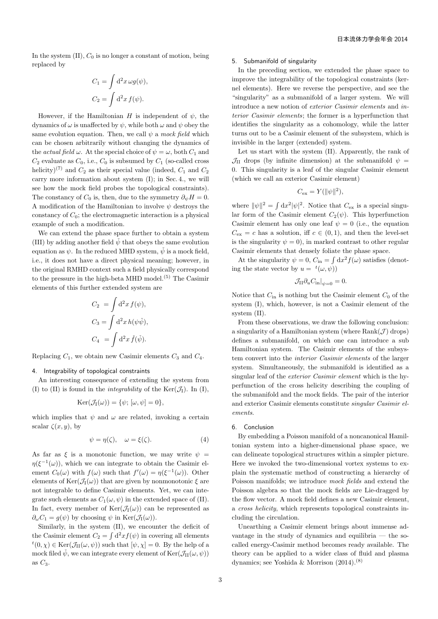In the system  $(II)$ ,  $C_0$  is no longer a constant of motion, being replaced by

$$
C_1 = \int d^2x \,\omega g(\psi),
$$
  

$$
C_2 = \int d^2x \, f(\psi).
$$

However, if the Hamiltonian *H* is independent of  $\psi$ , the dynamics of  $\omega$  is unaffected by  $\psi$ , while both  $\omega$  and  $\psi$  obey the same evolution equation. Then, we call  $\psi$  a mock field which can be chosen arbitrarily without changing the dynamics of the *actual field*  $\omega$ . At the special choice of  $\psi = \omega$ , both  $C_1$  and  $C_2$  evaluate as  $C_0$ , i.e.,  $C_0$  is subsumed by  $C_1$  (so-called cross helicity)<sup>(7)</sup> and  $C_2$  as their special value (indeed,  $C_1$  and  $C_2$ carry more information about system (I); in Sec. 4., we will see how the mock field probes the topological constraints). The constancy of  $C_0$  is, then, due to the symmetry  $\partial_{\psi} H = 0$ . A modification of the Hamiltonian to involve  $\psi$  destroys the constancy of  $C_0$ ; the electromagnetic interaction is a physical example of such a modification.

We can extend the phase space further to obtain a system (III) by adding another field  $\check{\psi}$  that obeys the same evolution equation as  $\psi$ . In the reduced MHD system,  $\check{\psi}$  is a mock field, i.e., it does not have a direct physical meaning; however, in the original RMHD context such a field physically correspond to the pressure in the high-beta MHD model.(5) The Casimir elements of this further extended system are

$$
C_2 = \int d^2x f(\psi),
$$
  
\n
$$
C_3 = \int d^2x h(\psi \check{\psi}),
$$
  
\n
$$
C_4 = \int d^2x \check{f}(\check{\psi}).
$$

Replacing  $C_1$ , we obtain new Casimir elements  $C_3$  and  $C_4$ .

#### 4. Integrability of topological constraints

An interesting consequence of extending the system from (I) to (II) is found in the *integrability* of the  $\text{Ker}(\mathcal{J}_I)$ . In (I),

$$
Ker(\mathcal{J}_I(\omega)) = \{\psi; [\omega, \psi] = 0\},\
$$

which implies that  $\psi$  and  $\omega$  are related, invoking a certain scalar  $\zeta(x, y)$ , by

$$
\psi = \eta(\zeta), \quad \omega = \xi(\zeta). \tag{4}
$$

As far as  $\xi$  is a monotonic function, we may write  $\psi =$  $\eta(\xi^{-1}(\omega))$ , which we can integrate to obtain the Casimir element  $C_0(\omega)$  with  $f(\omega)$  such that  $f'(\omega) = \eta(\xi^{-1}(\omega))$ . Other elements of  $\text{Ker}(\mathcal{J}_I(\omega))$  that are given by nonmonotonic  $\xi$  are not integrable to define Casimir elements. Yet, we can integrate such elements as  $C_1(\omega, \psi)$  in the extended space of (II). In fact, every member of  $\text{Ker}(\mathcal{J}_I(\omega))$  can be represented as  $\partial_{\omega} C_1 = g(\psi)$  by choosing  $\psi$  in Ker( $\mathcal{J}_I(\omega)$ ).

Similarly, in the system (II), we encounter the deficit of the Casimir element  $C_2 = \int d^2x f(\psi)$  in covering all elements  $t(0, \chi) \in \text{Ker}(\mathcal{J}_H(\omega, \psi))$  such that  $[\psi, \chi] = 0$ . By the help of a mock filed  $\check{\psi}$ , we can integrate every element of  $\text{Ker}(\mathcal{J}_{\text{II}}(\omega, \psi))$ as *C*3.

#### 5. Submanifold of singularity

In the preceding section, we extended the phase space to improve the integrability of the topological constraints (kernel elements). Here we reverse the perspective, and see the "singularity" as a submanifold of a larger system. We will introduce a new notion of *exterior Casimir elements* and *interior Casimir elements*; the former is a hyperfunction that identifies the singularity as a cohomology, while the latter turns out to be a Casimir element of the subsystem, which is invisible in the larger (extended) system.

Let us start with the system (II). Apparently, the rank of  $\mathcal{J}_{II}$  drops (by infinite dimension) at the submanifold  $\psi =$ 0. This singularity is a leaf of the singular Casimir element (which we call an exterior Casimir element)

$$
C_{\text{ex}} = Y(||\psi||^2),
$$

where  $\|\psi\|^2 = \int dx^2 |\psi|^2$ . Notice that  $C_{\text{ex}}$  is a special singular form of the Casimir element  $C_2(\psi)$ . This hyperfunction Casimir element has only one leaf  $\psi = 0$  (i.e., the equation  $C_{\text{ex}} = c$  has a solution, iff  $c \in (0, 1)$ , and then the level-set is the singularity  $\psi = 0$ , in marked contrast to other regular Casimir elements that densely foliate the phase space.

At the singularity  $\psi = 0$ ,  $C_{\text{in}} = \int dx^2 f(\omega)$  satisfies (denoting the state vector by  $u = {}^{t}(\omega, \psi)$ 

$$
\mathcal{J}_{\text{II}} \partial_u C_{\text{in}}|_{\psi=0} = 0.
$$

Notice that  $C_{\text{in}}$  is nothing but the Casimir element  $C_0$  of the system (I), which, however, is not a Casimir element of the system (II).

From these observations, we draw the following conclusion: a singularity of a Hamiltonian system (where  $Rank(\mathcal{J})$  drops) defines a submanifold, on which one can introduce a sub Hamiltonian system. The Casimir elements of the subsystem convert into the *interior Casimir elements* of the larger system. Simultaneously, the submanifold is identified as a singular leaf of the *exterior Casimir element* which is the hyperfunction of the cross helicity describing the coupling of the submanifold and the mock fields. The pair of the interior and exterior Casimir elements constitute *singular Casimir elements*.

#### 6. Conclusion

By embedding a Poisson manifold of a noncanonical Hamiltonian system into a higher-dimensional phase space, we can delineate topological structures within a simpler picture. Here we invoked the two-dimensional vortex systems to explain the systematic method of constructing a hierarchy of Poisson manifolds; we introduce *mock fields* and extend the Poisson algebra so that the mock fields are Lie-dragged by the flow vector. A mock field defines a new Casimir element, a *cross helicity*, which represents topological constraints including the circulation.

Unearthing a Casimir element brings about immense advantage in the study of dynamics and equilibria  $-$  the socalled energy-Casimir method becomes ready available. The theory can be applied to a wider class of fluid and plasma dynamics; see Yoshida & Morrison  $(2014)$ .<sup>(8)</sup>